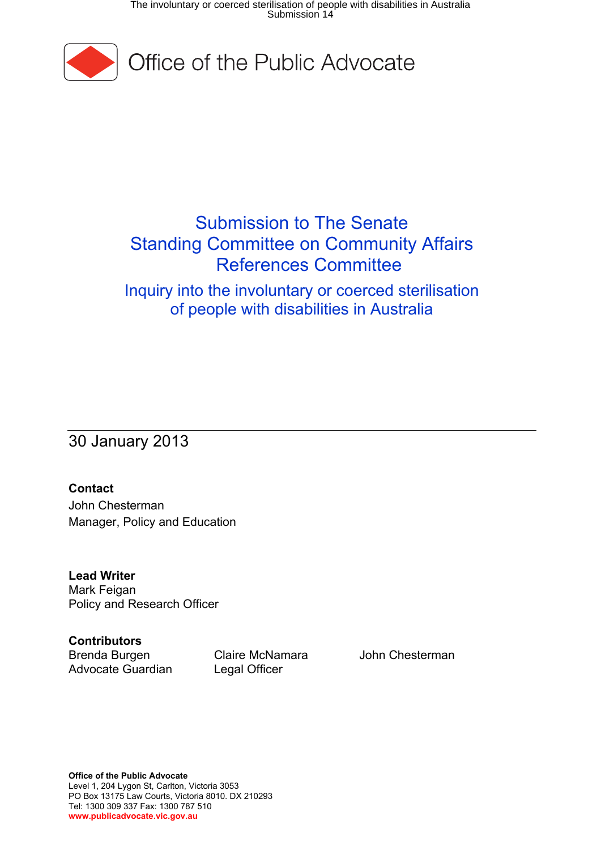The involuntary or coerced sterilisation of people with disabilities in Australia Submission 14



### Submission to The Senate Standing Committee on Community Affairs References Committee

### Inquiry into the involuntary or coerced sterilisation of people with disabilities in Australia

30 January 2013

**Contact** John Chesterman Manager, Policy and Education

**Lead Writer** Mark Feigan Policy and Research Officer

**Contributors**

Advocate Guardian Legal Officer

Brenda Burgen Claire McNamara John Chesterman

**Office of the Public Advocate** Level 1, 204 Lygon St, Carlton, Victoria 3053 PO Box 13175 Law Courts, Victoria 8010. DX 210293 Tel: 1300 309 337 Fax: 1300 787 510 **www.publicadvocate.vic.gov.au**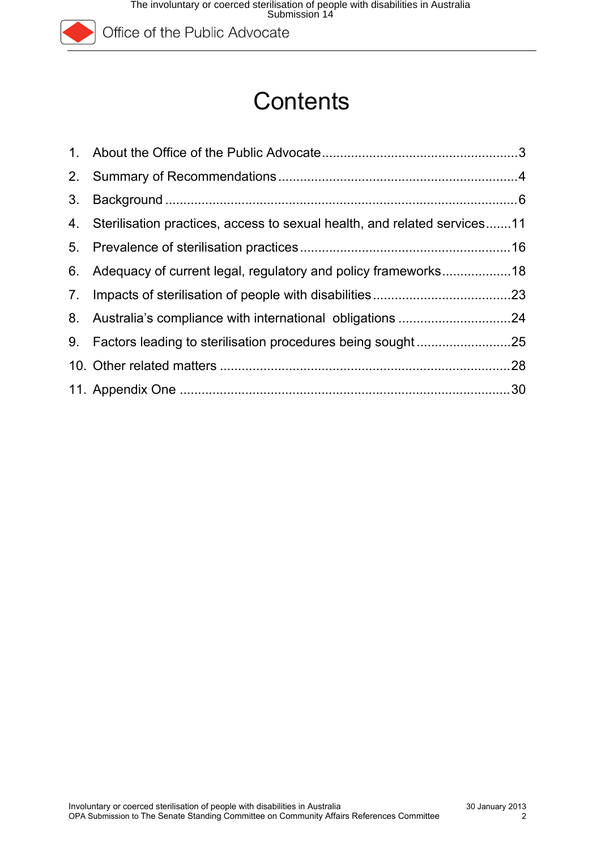The involuntary or coerced sterilisation of people with disabilities in Australia Submission 14



Office of the Public Advocate

# **Contents**

| 4. Sterilisation practices, access to sexual health, and related services11 |  |
|-----------------------------------------------------------------------------|--|
|                                                                             |  |
| 6. Adequacy of current legal, regulatory and policy frameworks18            |  |
|                                                                             |  |
|                                                                             |  |
|                                                                             |  |
|                                                                             |  |
|                                                                             |  |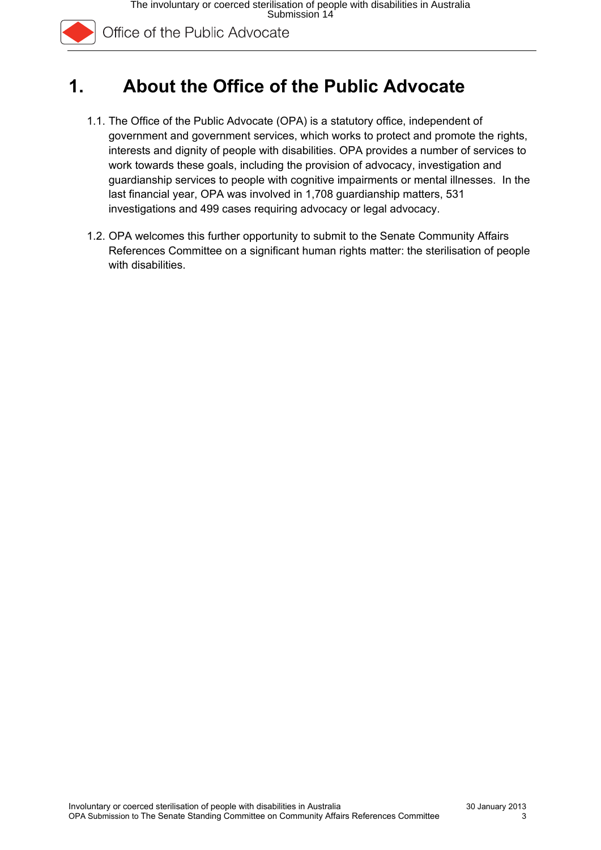## **1. About the Office of the Public Advocate**

- 1.1. The Office of the Public Advocate (OPA) is a statutory office, independent of government and government services, which works to protect and promote the rights, interests and dignity of people with disabilities. OPA provides a number of services to work towards these goals, including the provision of advocacy, investigation and guardianship services to people with cognitive impairments or mental illnesses. In the last financial year, OPA was involved in 1,708 guardianship matters, 531 investigations and 499 cases requiring advocacy or legal advocacy.
- 1.2. OPA welcomes this further opportunity to submit to the Senate Community Affairs References Committee on a significant human rights matter: the sterilisation of people with disabilities.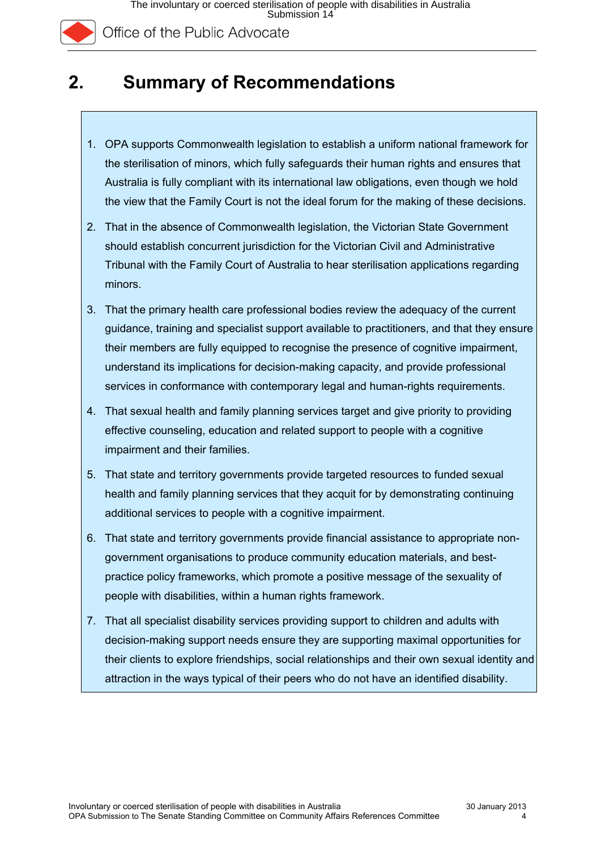The involuntary or coerced sterilisation of people with disabilities in Australia Submission 14

Office of the Public Advocate

## **2. Summary of Recommendations**

- 1. OPA supports Commonwealth legislation to establish a uniform national framework for the sterilisation of minors, which fully safeguards their human rights and ensures that Australia is fully compliant with its international law obligations, even though we hold the view that the Family Court is not the ideal forum for the making of these decisions.
- 2. That in the absence of Commonwealth legislation, the Victorian State Government should establish concurrent jurisdiction for the Victorian Civil and Administrative Tribunal with the Family Court of Australia to hear sterilisation applications regarding minors.
- 3. That the primary health care professional bodies review the adequacy of the current guidance, training and specialist support available to practitioners, and that they ensure their members are fully equipped to recognise the presence of cognitive impairment, understand its implications for decision-making capacity, and provide professional services in conformance with contemporary legal and human-rights requirements.
- 4. That sexual health and family planning services target and give priority to providing effective counseling, education and related support to people with a cognitive impairment and their families.
- 5. That state and territory governments provide targeted resources to funded sexual health and family planning services that they acquit for by demonstrating continuing additional services to people with a cognitive impairment.
- 6. That state and territory governments provide financial assistance to appropriate nongovernment organisations to produce community education materials, and bestpractice policy frameworks, which promote a positive message of the sexuality of people with disabilities, within a human rights framework.
- 7. That all specialist disability services providing support to children and adults with decision-making support needs ensure they are supporting maximal opportunities for their clients to explore friendships, social relationships and their own sexual identity and attraction in the ways typical of their peers who do not have an identified disability.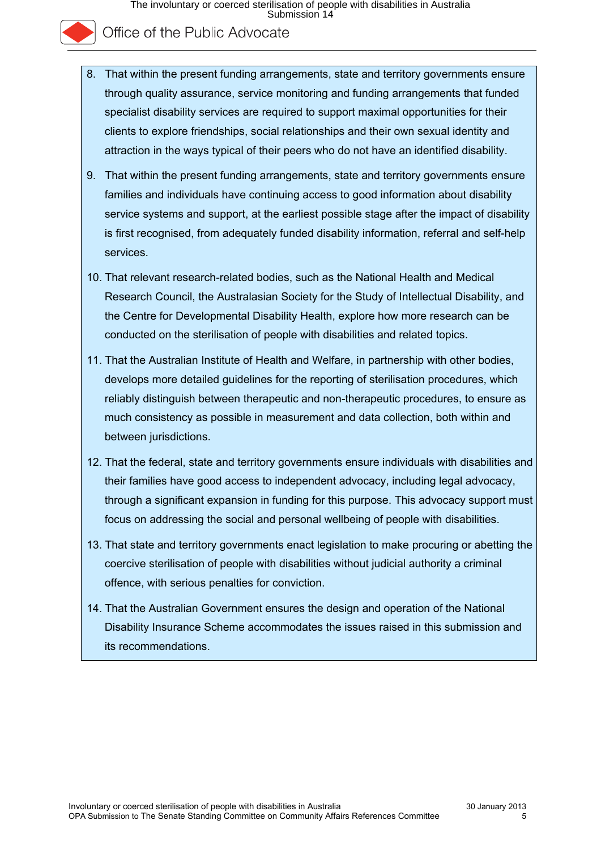- 8. That within the present funding arrangements, state and territory governments ensure through quality assurance, service monitoring and funding arrangements that funded specialist disability services are required to support maximal opportunities for their clients to explore friendships, social relationships and their own sexual identity and attraction in the ways typical of their peers who do not have an identified disability.
- 9. That within the present funding arrangements, state and territory governments ensure families and individuals have continuing access to good information about disability service systems and support, at the earliest possible stage after the impact of disability is first recognised, from adequately funded disability information, referral and self-help services.
- 10. That relevant research-related bodies, such as the National Health and Medical Research Council, the Australasian Society for the Study of Intellectual Disability, and the Centre for Developmental Disability Health, explore how more research can be conducted on the sterilisation of people with disabilities and related topics.
- 11. That the Australian Institute of Health and Welfare, in partnership with other bodies, develops more detailed guidelines for the reporting of sterilisation procedures, which reliably distinguish between therapeutic and non-therapeutic procedures, to ensure as much consistency as possible in measurement and data collection, both within and between jurisdictions.
- 12. That the federal, state and territory governments ensure individuals with disabilities and their families have good access to independent advocacy, including legal advocacy, through a significant expansion in funding for this purpose. This advocacy support must focus on addressing the social and personal wellbeing of people with disabilities.
- 13. That state and territory governments enact legislation to make procuring or abetting the coercive sterilisation of people with disabilities without judicial authority a criminal offence, with serious penalties for conviction.
- 14. That the Australian Government ensures the design and operation of the National Disability Insurance Scheme accommodates the issues raised in this submission and its recommendations.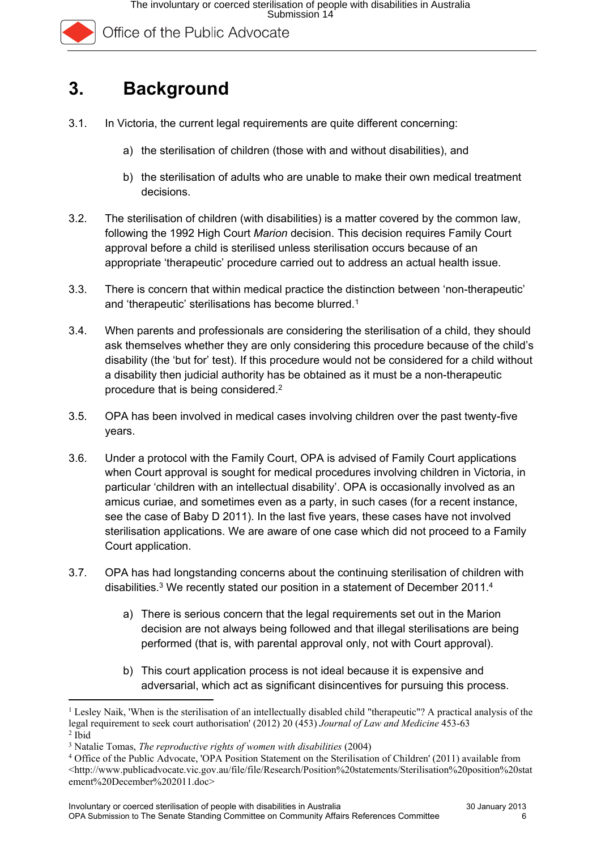The involuntary or coerced sterilisation of people with disabilities in Australia Submission 14



Office of the Public Advocate

## **3. Background**

- 3.1. In Victoria, the current legal requirements are quite different concerning:
	- a) the sterilisation of children (those with and without disabilities), and
	- b) the sterilisation of adults who are unable to make their own medical treatment decisions.
- 3.2. The sterilisation of children (with disabilities) is a matter covered by the common law, following the 1992 High Court *Marion* decision. This decision requires Family Court approval before a child is sterilised unless sterilisation occurs because of an appropriate 'therapeutic' procedure carried out to address an actual health issue.
- 3.3. There is concern that within medical practice the distinction between 'non-therapeutic' and 'therapeutic' sterilisations has become blurred.<sup>1</sup>
- 3.4. When parents and professionals are considering the sterilisation of a child, they should ask themselves whether they are only considering this procedure because of the child's disability (the 'but for' test). If this procedure would not be considered for a child without a disability then judicial authority has be obtained as it must be a non-therapeutic procedure that is being considered.<sup>2</sup>
- 3.5. OPA has been involved in medical cases involving children over the past twenty-five years.
- 3.6. Under a protocol with the Family Court, OPA is advised of Family Court applications when Court approval is sought for medical procedures involving children in Victoria, in particular 'children with an intellectual disability'. OPA is occasionally involved as an amicus curiae, and sometimes even as a party, in such cases (for a recent instance, see the case of Baby D 2011). In the last five years, these cases have not involved sterilisation applications. We are aware of one case which did not proceed to a Family Court application.
- 3.7. OPA has had longstanding concerns about the continuing sterilisation of children with disabilities.<sup>3</sup> We recently stated our position in a statement of December 2011.<sup>4</sup>
	- a) There is serious concern that the legal requirements set out in the Marion decision are not always being followed and that illegal sterilisations are being performed (that is, with parental approval only, not with Court approval).
	- b) This court application process is not ideal because it is expensive and adversarial, which act as significant disincentives for pursuing this process.

<sup>&</sup>lt;sup>1</sup> Lesley Naik, 'When is the sterilisation of an intellectually disabled child "therapeutic"? A practical analysis of the legal requirement to seek court authorisation' (2012) 20 (453) *Journal of Law and Medicine* 453-63 2 Ibid

<sup>3</sup> Natalie Tomas, *The reproductive rights of women with disabilities* (2004)

<sup>&</sup>lt;sup>4</sup> Office of the Public Advocate, 'OPA Position Statement on the Sterilisation of Children' (2011) available from  $\lt$ http://www.publicadvocate.vic.gov.au/file/file/Research/Position%20statements/Sterilisation%20position%20stat ement%20December%202011.doc>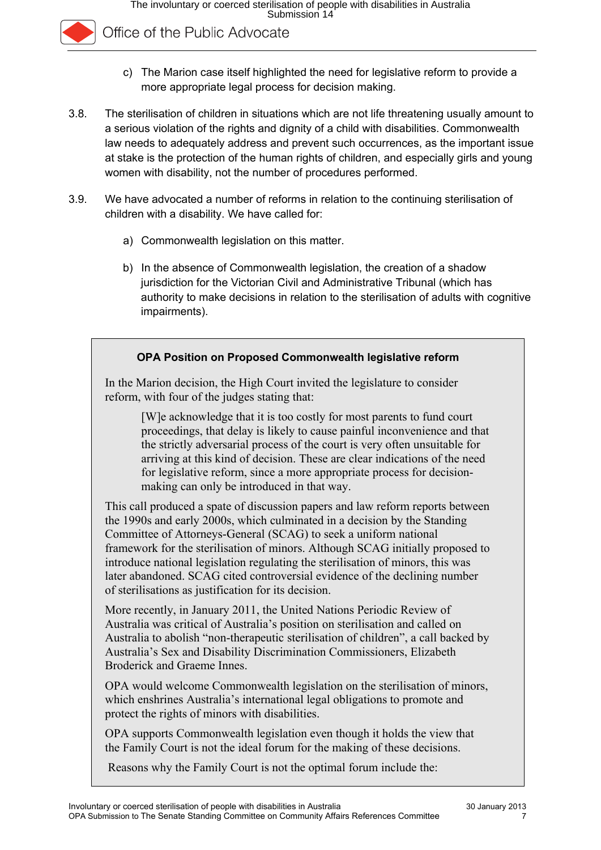- c) The Marion case itself highlighted the need for legislative reform to provide a more appropriate legal process for decision making.
- 3.8. The sterilisation of children in situations which are not life threatening usually amount to a serious violation of the rights and dignity of a child with disabilities. Commonwealth law needs to adequately address and prevent such occurrences, as the important issue at stake is the protection of the human rights of children, and especially girls and young women with disability, not the number of procedures performed.
- 3.9. We have advocated a number of reforms in relation to the continuing sterilisation of children with a disability. We have called for:
	- a) Commonwealth legislation on this matter.
	- b) In the absence of Commonwealth legislation, the creation of a shadow jurisdiction for the Victorian Civil and Administrative Tribunal (which has authority to make decisions in relation to the sterilisation of adults with cognitive impairments).

#### **OPA Position on Proposed Commonwealth legislative reform**

In the Marion decision, the High Court invited the legislature to consider reform, with four of the judges stating that:

> [W]e acknowledge that it is too costly for most parents to fund court proceedings, that delay is likely to cause painful inconvenience and that the strictly adversarial process of the court is very often unsuitable for arriving at this kind of decision. These are clear indications of the need for legislative reform, since a more appropriate process for decisionmaking can only be introduced in that way.

This call produced a spate of discussion papers and law reform reports between the 1990s and early 2000s, which culminated in a decision by the Standing Committee of Attorneys-General (SCAG) to seek a uniform national framework for the sterilisation of minors. Although SCAG initially proposed to introduce national legislation regulating the sterilisation of minors, this was later abandoned. SCAG cited controversial evidence of the declining number of sterilisations as justification for its decision.

More recently, in January 2011, the United Nations Periodic Review of Australia was critical of Australia's position on sterilisation and called on Australia to abolish "non-therapeutic sterilisation of children", a call backed by Australia's Sex and Disability Discrimination Commissioners, Elizabeth Broderick and Graeme Innes.

OPA would welcome Commonwealth legislation on the sterilisation of minors, which enshrines Australia's international legal obligations to promote and protect the rights of minors with disabilities.

OPA supports Commonwealth legislation even though it holds the view that the Family Court is not the ideal forum for the making of these decisions.

Reasons why the Family Court is not the optimal forum include the: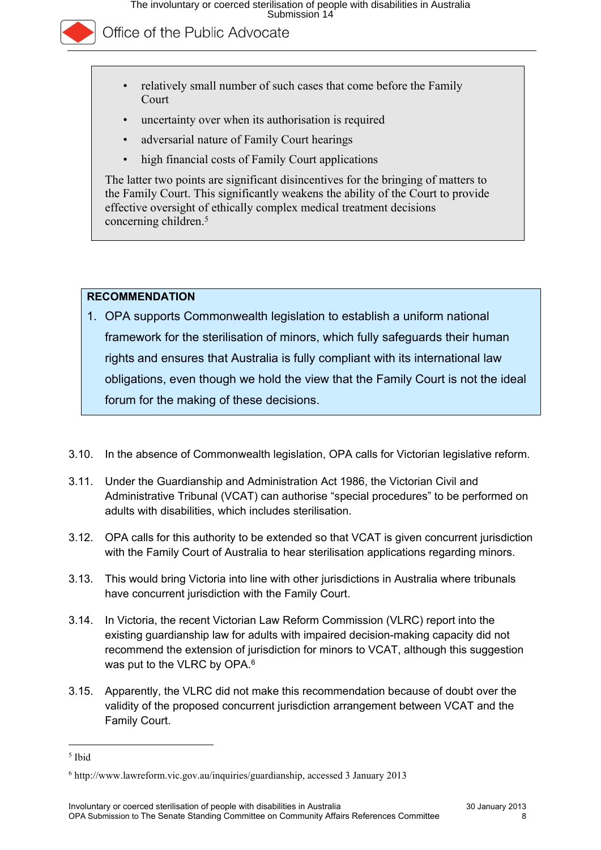

- relatively small number of such cases that come before the Family Court
- uncertainty over when its authorisation is required
- adversarial nature of Family Court hearings
- high financial costs of Family Court applications

The latter two points are significant disincentives for the bringing of matters to the Family Court. This significantly weakens the ability of the Court to provide effective oversight of ethically complex medical treatment decisions concerning children.<sup>5</sup>

#### **RECOMMENDATION**

- 1. OPA supports Commonwealth legislation to establish a uniform national framework for the sterilisation of minors, which fully safeguards their human rights and ensures that Australia is fully compliant with its international law obligations, even though we hold the view that the Family Court is not the ideal forum for the making of these decisions.
- 3.10. In the absence of Commonwealth legislation, OPA calls for Victorian legislative reform.
- 3.11. Under the Guardianship and Administration Act 1986, the Victorian Civil and Administrative Tribunal (VCAT) can authorise "special procedures" to be performed on adults with disabilities, which includes sterilisation.
- 3.12. OPA calls for this authority to be extended so that VCAT is given concurrent jurisdiction with the Family Court of Australia to hear sterilisation applications regarding minors.
- 3.13. This would bring Victoria into line with other jurisdictions in Australia where tribunals have concurrent jurisdiction with the Family Court.
- 3.14. In Victoria, the recent Victorian Law Reform Commission (VLRC) report into the existing guardianship law for adults with impaired decision-making capacity did not recommend the extension of jurisdiction for minors to VCAT, although this suggestion was put to the VLRC by OPA.<sup>6</sup>
- 3.15. Apparently, the VLRC did not make this recommendation because of doubt over the validity of the proposed concurrent jurisdiction arrangement between VCAT and the Family Court.

<sup>5</sup> Ibid

<sup>6</sup> http://www.lawreform.vic.gov.au/inquiries/guardianship, accessed 3 January 2013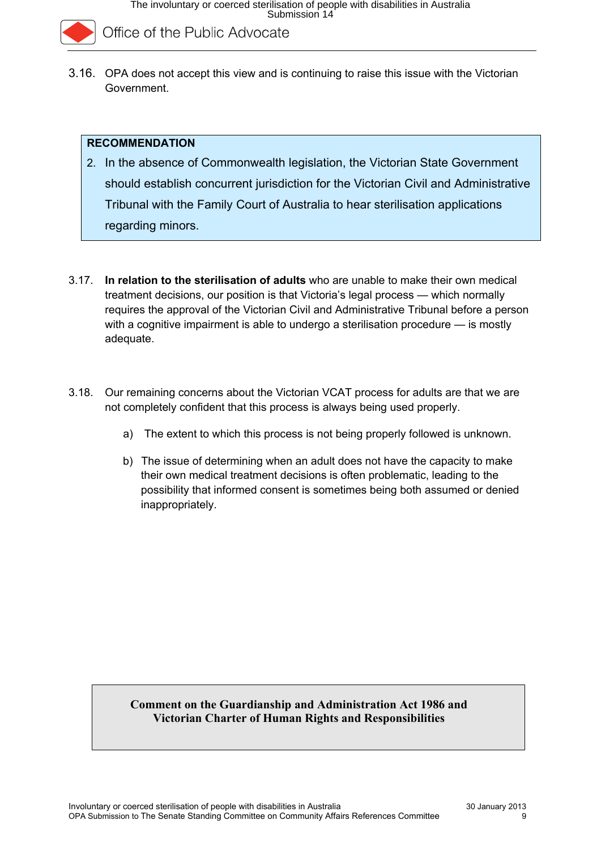

3.16. OPA does not accept this view and is continuing to raise this issue with the Victorian Government.

#### **RECOMMENDATION**

- 2. In the absence of Commonwealth legislation, the Victorian State Government should establish concurrent jurisdiction for the Victorian Civil and Administrative Tribunal with the Family Court of Australia to hear sterilisation applications regarding minors.
- 3.17. **In relation to the sterilisation of adults** who are unable to make their own medical treatment decisions, our position is that Victoria's legal process — which normally requires the approval of the Victorian Civil and Administrative Tribunal before a person with a cognitive impairment is able to undergo a sterilisation procedure — is mostly adequate.
- 3.18. Our remaining concerns about the Victorian VCAT process for adults are that we are not completely confident that this process is always being used properly.
	- a) The extent to which this process is not being properly followed is unknown.
	- b) The issue of determining when an adult does not have the capacity to make their own medical treatment decisions is often problematic, leading to the possibility that informed consent is sometimes being both assumed or denied inappropriately.

#### **Comment on the Guardianship and Administration Act 1986 and Victorian Charter of Human Rights and Responsibilities**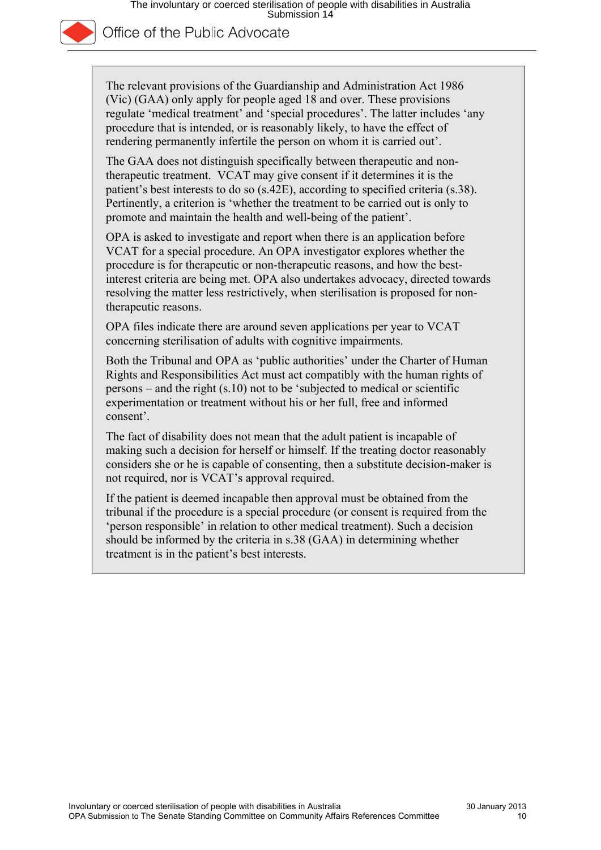

The GAA does not distinguish specifically between therapeutic and nontherapeutic treatment. VCAT may give consent if it determines it is the patient's best interests to do so (s.42E), according to specified criteria (s.38). Pertinently, a criterion is 'whether the treatment to be carried out is only to promote and maintain the health and well-being of the patient'.

OPA is asked to investigate and report when there is an application before VCAT for a special procedure. An OPA investigator explores whether the procedure is for therapeutic or non-therapeutic reasons, and how the bestinterest criteria are being met. OPA also undertakes advocacy, directed towards resolving the matter less restrictively, when sterilisation is proposed for nontherapeutic reasons.

OPA files indicate there are around seven applications per year to VCAT concerning sterilisation of adults with cognitive impairments.

Both the Tribunal and OPA as 'public authorities' under the Charter of Human Rights and Responsibilities Act must act compatibly with the human rights of persons – and the right (s.10) not to be 'subjected to medical or scientific experimentation or treatment without his or her full, free and informed consent'.

The fact of disability does not mean that the adult patient is incapable of making such a decision for herself or himself. If the treating doctor reasonably considers she or he is capable of consenting, then a substitute decision-maker is not required, nor is VCAT's approval required.

If the patient is deemed incapable then approval must be obtained from the tribunal if the procedure is a special procedure (or consent is required from the 'person responsible' in relation to other medical treatment). Such a decision should be informed by the criteria in s.38 (GAA) in determining whether treatment is in the patient's best interests.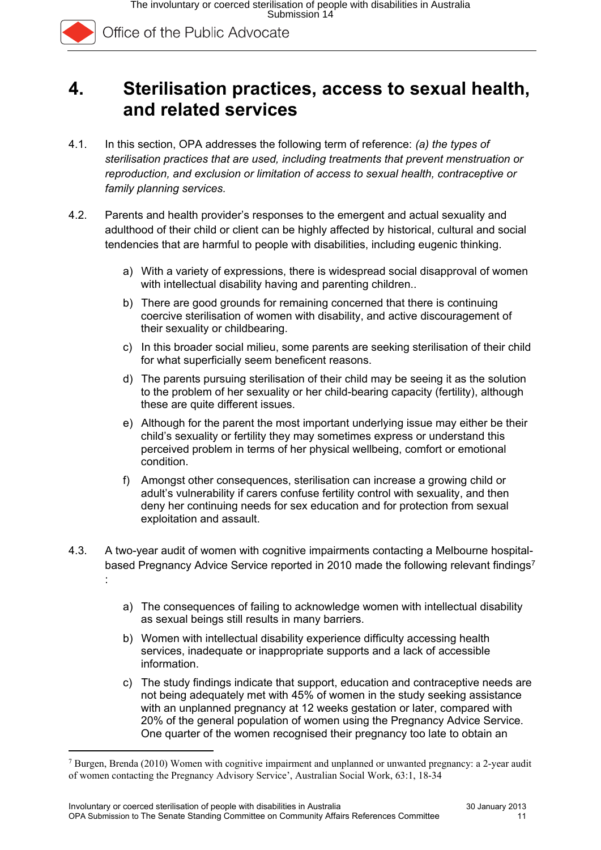

:

Office of the Public Advocate

## **4. Sterilisation practices, access to sexual health, and related services**

- 4.1. In this section, OPA addresses the following term of reference: *(a) the types of sterilisation practices that are used, including treatments that prevent menstruation or reproduction, and exclusion or limitation of access to sexual health, contraceptive or family planning services.*
- 4.2. Parents and health provider's responses to the emergent and actual sexuality and adulthood of their child or client can be highly affected by historical, cultural and social tendencies that are harmful to people with disabilities, including eugenic thinking.
	- a) With a variety of expressions, there is widespread social disapproval of women with intellectual disability having and parenting children..
	- b) There are good grounds for remaining concerned that there is continuing coercive sterilisation of women with disability, and active discouragement of their sexuality or childbearing.
	- c) In this broader social milieu, some parents are seeking sterilisation of their child for what superficially seem beneficent reasons.
	- d) The parents pursuing sterilisation of their child may be seeing it as the solution to the problem of her sexuality or her child-bearing capacity (fertility), although these are quite different issues.
	- e) Although for the parent the most important underlying issue may either be their child's sexuality or fertility they may sometimes express or understand this perceived problem in terms of her physical wellbeing, comfort or emotional condition.
	- f) Amongst other consequences, sterilisation can increase a growing child or adult's vulnerability if carers confuse fertility control with sexuality, and then deny her continuing needs for sex education and for protection from sexual exploitation and assault.
- 4.3. A two-year audit of women with cognitive impairments contacting a Melbourne hospitalbased Pregnancy Advice Service reported in 2010 made the following relevant findings<sup>7</sup>
	- a) The consequences of failing to acknowledge women with intellectual disability as sexual beings still results in many barriers.
	- b) Women with intellectual disability experience difficulty accessing health services, inadequate or inappropriate supports and a lack of accessible information.
	- c) The study findings indicate that support, education and contraceptive needs are not being adequately met with 45% of women in the study seeking assistance with an unplanned pregnancy at 12 weeks gestation or later, compared with 20% of the general population of women using the Pregnancy Advice Service. One quarter of the women recognised their pregnancy too late to obtain an

<sup>7</sup> Burgen, Brenda (2010) Women with cognitive impairment and unplanned or unwanted pregnancy: a 2-year audit of women contacting the Pregnancy Advisory Service', Australian Social Work, 63:1, 18-34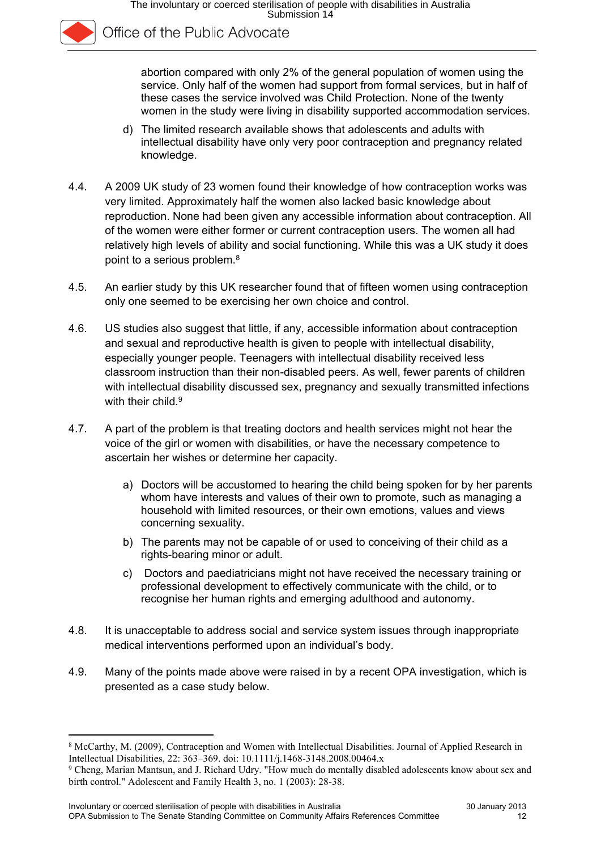abortion compared with only 2% of the general population of women using the service. Only half of the women had support from formal services, but in half of these cases the service involved was Child Protection. None of the twenty women in the study were living in disability supported accommodation services.

- d) The limited research available shows that adolescents and adults with intellectual disability have only very poor contraception and pregnancy related knowledge.
- 4.4. A 2009 UK study of 23 women found their knowledge of how contraception works was very limited. Approximately half the women also lacked basic knowledge about reproduction. None had been given any accessible information about contraception. All of the women were either former or current contraception users. The women all had relatively high levels of ability and social functioning. While this was a UK study it does point to a serious problem.<sup>8</sup>
- 4.5. An earlier study by this UK researcher found that of fifteen women using contraception only one seemed to be exercising her own choice and control.
- 4.6. US studies also suggest that little, if any, accessible information about contraception and sexual and reproductive health is given to people with intellectual disability, especially younger people. Teenagers with intellectual disability received less classroom instruction than their non-disabled peers. As well, fewer parents of children with intellectual disability discussed sex, pregnancy and sexually transmitted infections with their child.<sup>9</sup>
- 4.7. A part of the problem is that treating doctors and health services might not hear the voice of the girl or women with disabilities, or have the necessary competence to ascertain her wishes or determine her capacity.
	- a) Doctors will be accustomed to hearing the child being spoken for by her parents whom have interests and values of their own to promote, such as managing a household with limited resources, or their own emotions, values and views concerning sexuality.
	- b) The parents may not be capable of or used to conceiving of their child as a rights-bearing minor or adult.
	- c) Doctors and paediatricians might not have received the necessary training or professional development to effectively communicate with the child, or to recognise her human rights and emerging adulthood and autonomy.
- 4.8. It is unacceptable to address social and service system issues through inappropriate medical interventions performed upon an individual's body.
- 4.9. Many of the points made above were raised in by a recent OPA investigation, which is presented as a case study below.

<sup>8</sup> McCarthy, M. (2009), Contraception and Women with Intellectual Disabilities. Journal of Applied Research in Intellectual Disabilities, 22: 363–369. doi: 10.1111/j.1468-3148.2008.00464.x

<sup>9</sup> Cheng, Marian Mantsun, and J. Richard Udry. "How much do mentally disabled adolescents know about sex and birth control." Adolescent and Family Health 3, no. 1 (2003): 28-38.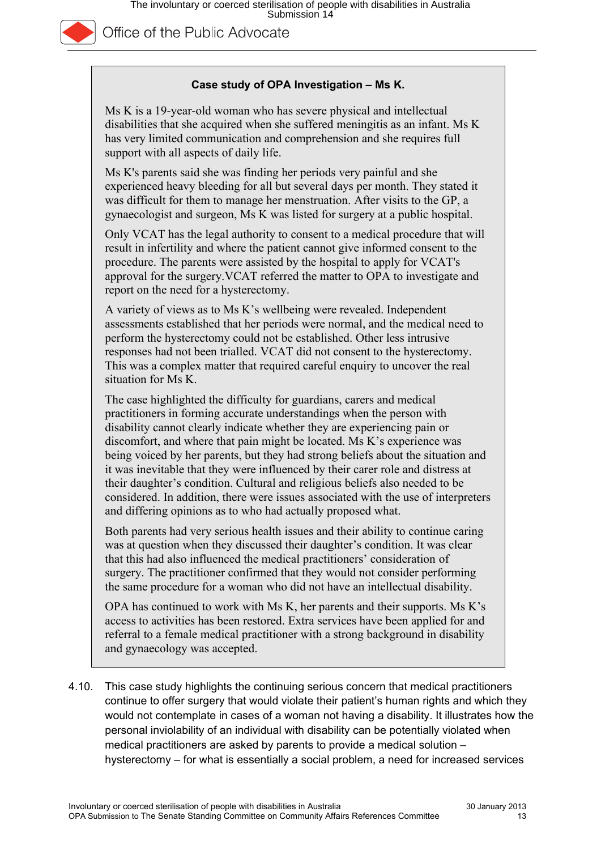The involuntary or coerced sterilisation of people with disabilities in Australia Submission 14



Office of the Public Advocate

#### **Case study of OPA Investigation – Ms K.**

Ms K is a 19-year-old woman who has severe physical and intellectual disabilities that she acquired when she suffered meningitis as an infant. Ms K has very limited communication and comprehension and she requires full support with all aspects of daily life.

Ms K's parents said she was finding her periods very painful and she experienced heavy bleeding for all but several days per month. They stated it was difficult for them to manage her menstruation. After visits to the GP, a gynaecologist and surgeon, Ms K was listed for surgery at a public hospital.

Only VCAT has the legal authority to consent to a medical procedure that will result in infertility and where the patient cannot give informed consent to the procedure. The parents were assisted by the hospital to apply for VCAT's approval for the surgery.VCAT referred the matter to OPA to investigate and report on the need for a hysterectomy.

A variety of views as to Ms K's wellbeing were revealed. Independent assessments established that her periods were normal, and the medical need to perform the hysterectomy could not be established. Other less intrusive responses had not been trialled. VCAT did not consent to the hysterectomy. This was a complex matter that required careful enquiry to uncover the real situation for Ms K.

The case highlighted the difficulty for guardians, carers and medical practitioners in forming accurate understandings when the person with disability cannot clearly indicate whether they are experiencing pain or discomfort, and where that pain might be located. Ms K's experience was being voiced by her parents, but they had strong beliefs about the situation and it was inevitable that they were influenced by their carer role and distress at their daughter's condition. Cultural and religious beliefs also needed to be considered. In addition, there were issues associated with the use of interpreters and differing opinions as to who had actually proposed what.

Both parents had very serious health issues and their ability to continue caring was at question when they discussed their daughter's condition. It was clear that this had also influenced the medical practitioners' consideration of surgery. The practitioner confirmed that they would not consider performing the same procedure for a woman who did not have an intellectual disability.

OPA has continued to work with Ms K, her parents and their supports. Ms K's access to activities has been restored. Extra services have been applied for and referral to a female medical practitioner with a strong background in disability and gynaecology was accepted.

4.10. This case study highlights the continuing serious concern that medical practitioners continue to offer surgery that would violate their patient's human rights and which they would not contemplate in cases of a woman not having a disability. It illustrates how the personal inviolability of an individual with disability can be potentially violated when medical practitioners are asked by parents to provide a medical solution – hysterectomy – for what is essentially a social problem, a need for increased services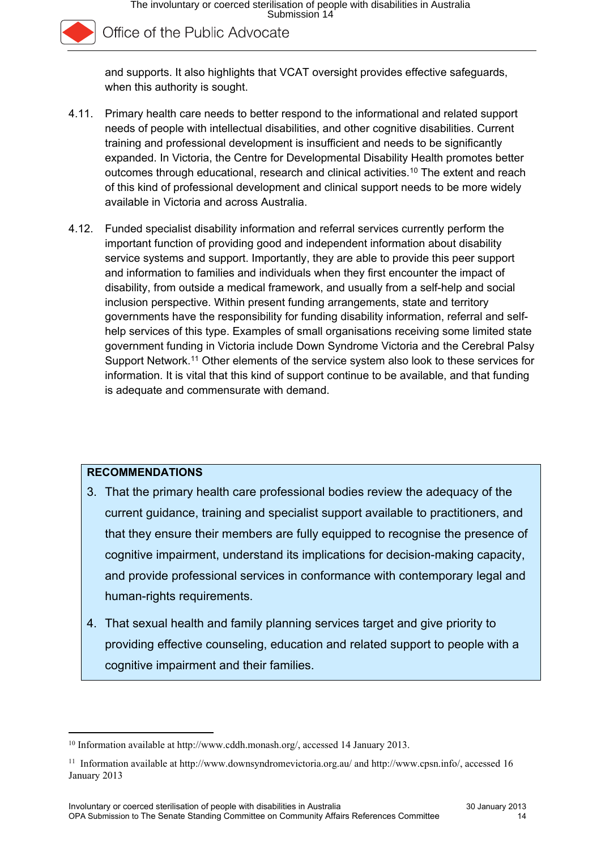

and supports. It also highlights that VCAT oversight provides effective safeguards, when this authority is sought.

- 4.11. Primary health care needs to better respond to the informational and related support needs of people with intellectual disabilities, and other cognitive disabilities. Current training and professional development is insufficient and needs to be significantly expanded. In Victoria, the Centre for Developmental Disability Health promotes better outcomes through educational, research and clinical activities.<sup>10</sup> The extent and reach of this kind of professional development and clinical support needs to be more widely available in Victoria and across Australia.
- 4.12. Funded specialist disability information and referral services currently perform the important function of providing good and independent information about disability service systems and support. Importantly, they are able to provide this peer support and information to families and individuals when they first encounter the impact of disability, from outside a medical framework, and usually from a self-help and social inclusion perspective. Within present funding arrangements, state and territory governments have the responsibility for funding disability information, referral and selfhelp services of this type. Examples of small organisations receiving some limited state government funding in Victoria include Down Syndrome Victoria and the Cerebral Palsy Support Network.<sup>11</sup> Other elements of the service system also look to these services for information. It is vital that this kind of support continue to be available, and that funding is adequate and commensurate with demand.

#### **RECOMMENDATIONS**

- 3. That the primary health care professional bodies review the adequacy of the current guidance, training and specialist support available to practitioners, and that they ensure their members are fully equipped to recognise the presence of cognitive impairment, understand its implications for decision-making capacity, and provide professional services in conformance with contemporary legal and human-rights requirements.
- 4. That sexual health and family planning services target and give priority to providing effective counseling, education and related support to people with a cognitive impairment and their families.

<sup>10</sup> Information available at http://www.cddh.monash.org/, accessed 14 January 2013.

<sup>11</sup> Information available at http://www.downsyndromevictoria.org.au/ and http://www.cpsn.info/, accessed 16 January 2013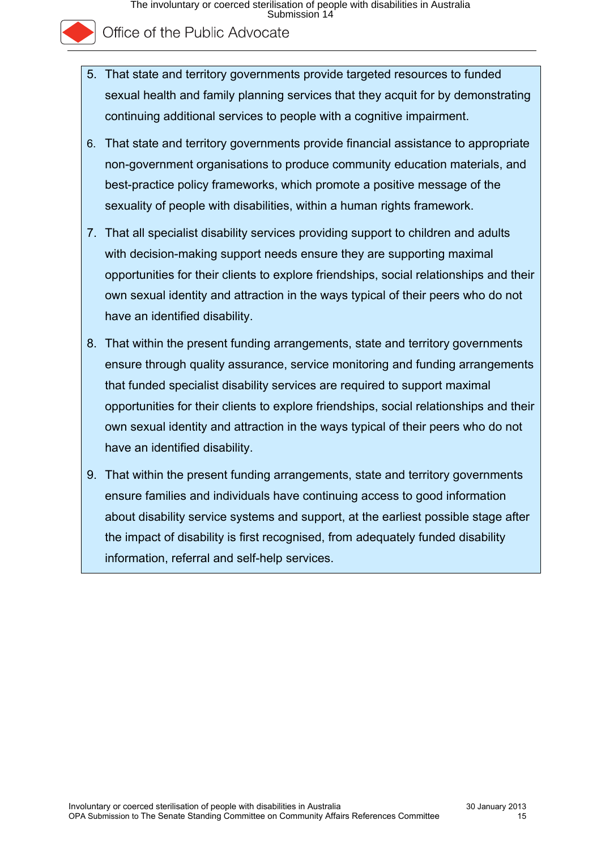

- 5. That state and territory governments provide targeted resources to funded sexual health and family planning services that they acquit for by demonstrating continuing additional services to people with a cognitive impairment.
- 6. That state and territory governments provide financial assistance to appropriate non-government organisations to produce community education materials, and best-practice policy frameworks, which promote a positive message of the sexuality of people with disabilities, within a human rights framework.
- 7. That all specialist disability services providing support to children and adults with decision-making support needs ensure they are supporting maximal opportunities for their clients to explore friendships, social relationships and their own sexual identity and attraction in the ways typical of their peers who do not have an identified disability.
- 8. That within the present funding arrangements, state and territory governments ensure through quality assurance, service monitoring and funding arrangements that funded specialist disability services are required to support maximal opportunities for their clients to explore friendships, social relationships and their own sexual identity and attraction in the ways typical of their peers who do not have an identified disability.
- 9. That within the present funding arrangements, state and territory governments ensure families and individuals have continuing access to good information about disability service systems and support, at the earliest possible stage after the impact of disability is first recognised, from adequately funded disability information, referral and self-help services.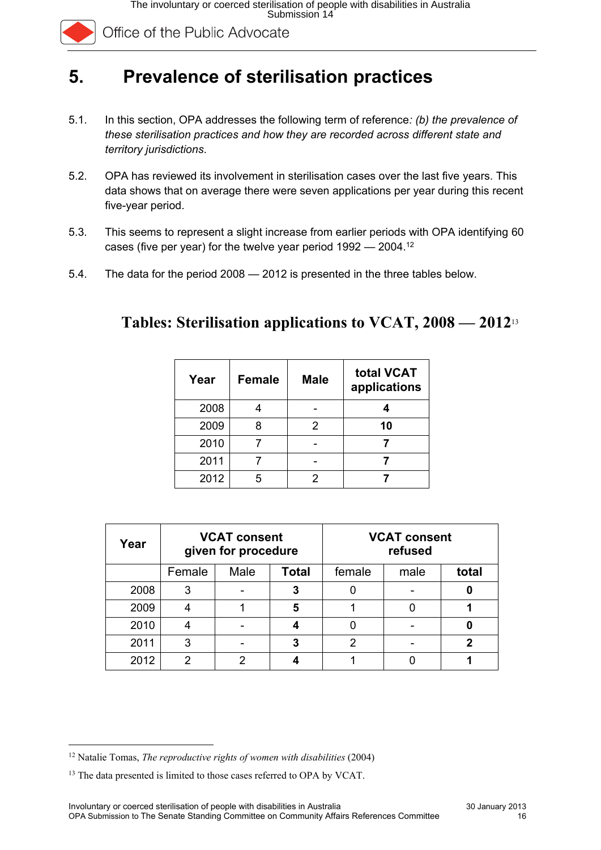## **5. Prevalence of sterilisation practices**

- 5.1. In this section, OPA addresses the following term of reference*: (b) the prevalence of these sterilisation practices and how they are recorded across different state and territory jurisdictions*.
- 5.2. OPA has reviewed its involvement in sterilisation cases over the last five years. This data shows that on average there were seven applications per year during this recent five-year period.
- 5.3. This seems to represent a slight increase from earlier periods with OPA identifying 60 cases (five per year) for the twelve year period 1992 — 2004.<sup>12</sup>
- 5.4. The data for the period 2008 2012 is presented in the three tables below.

### **Tables: Sterilisation applications to VCAT, 2008 — 2012**<sup>13</sup>

| Year | <b>Female</b> | <b>Male</b> | total VCAT<br>applications |
|------|---------------|-------------|----------------------------|
| 2008 |               |             |                            |
| 2009 |               | 2           | 10                         |
| 2010 |               |             |                            |
| 2011 |               |             |                            |
| 2012 |               | 2           |                            |

| Year | <b>VCAT consent</b><br>given for procedure |      |              | <b>VCAT consent</b><br>refused |      |       |
|------|--------------------------------------------|------|--------------|--------------------------------|------|-------|
|      | Female                                     | Male | <b>Total</b> | female                         | male | total |
| 2008 | 3                                          |      | 3            |                                |      |       |
| 2009 |                                            |      | 5            |                                |      |       |
| 2010 |                                            |      | 4            |                                |      |       |
| 2011 | 3                                          |      | 3            | 2                              |      | 2     |
| 2012 | 2                                          | 2    |              |                                |      |       |

<sup>12</sup> Natalie Tomas, *The reproductive rights of women with disabilities* (2004)

<sup>&</sup>lt;sup>13</sup> The data presented is limited to those cases referred to OPA by VCAT.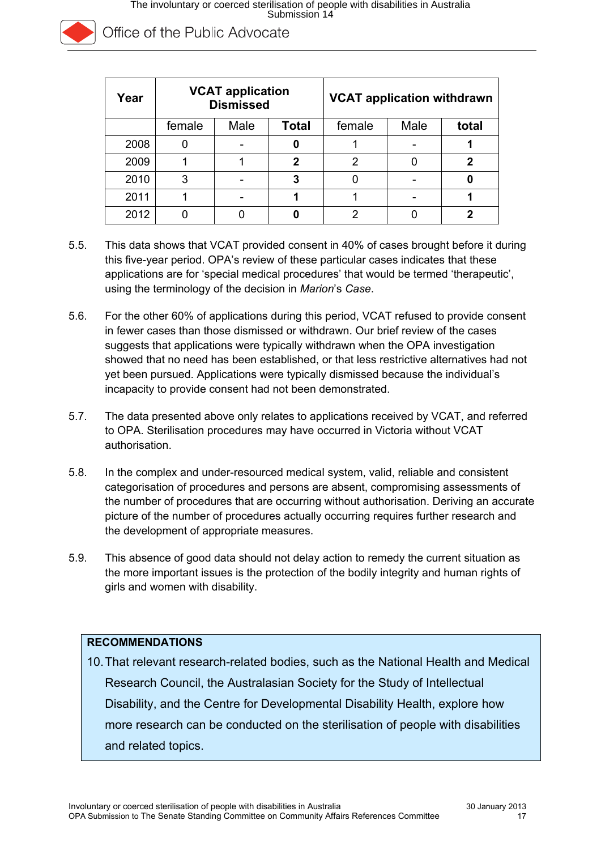

| Year | <b>VCAT application</b><br><b>Dismissed</b> |      |              | <b>VCAT application withdrawn</b> |      |       |
|------|---------------------------------------------|------|--------------|-----------------------------------|------|-------|
|      | female                                      | Male | <b>Total</b> | female                            | Male | total |
| 2008 |                                             |      | 0            |                                   |      |       |
| 2009 |                                             |      | 2            | 2                                 |      | 2     |
| 2010 | 3                                           |      | 3            |                                   |      |       |
| 2011 |                                             |      |              |                                   |      |       |
| 2012 |                                             |      | 0            | ⌒                                 |      |       |

- 5.5. This data shows that VCAT provided consent in 40% of cases brought before it during this five-year period. OPA's review of these particular cases indicates that these applications are for 'special medical procedures' that would be termed 'therapeutic', using the terminology of the decision in *Marion*'s *Case*.
- 5.6. For the other 60% of applications during this period, VCAT refused to provide consent in fewer cases than those dismissed or withdrawn. Our brief review of the cases suggests that applications were typically withdrawn when the OPA investigation showed that no need has been established, or that less restrictive alternatives had not yet been pursued. Applications were typically dismissed because the individual's incapacity to provide consent had not been demonstrated.
- 5.7. The data presented above only relates to applications received by VCAT, and referred to OPA. Sterilisation procedures may have occurred in Victoria without VCAT authorisation.
- 5.8. In the complex and under-resourced medical system, valid, reliable and consistent categorisation of procedures and persons are absent, compromising assessments of the number of procedures that are occurring without authorisation. Deriving an accurate picture of the number of procedures actually occurring requires further research and the development of appropriate measures.
- 5.9. This absence of good data should not delay action to remedy the current situation as the more important issues is the protection of the bodily integrity and human rights of girls and women with disability.

#### **RECOMMENDATIONS**

10.That relevant research-related bodies, such as the National Health and Medical Research Council, the Australasian Society for the Study of Intellectual Disability, and the Centre for Developmental Disability Health, explore how more research can be conducted on the sterilisation of people with disabilities and related topics.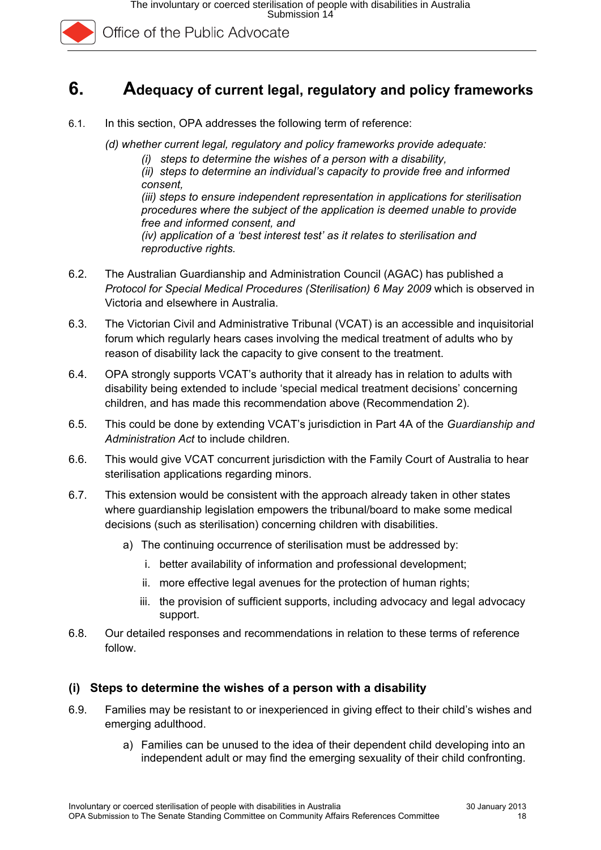

### **6. Adequacy of current legal, regulatory and policy frameworks**

6.1. In this section, OPA addresses the following term of reference:

*(d) whether current legal, regulatory and policy frameworks provide adequate:*

*(i) steps to determine the wishes of a person with a disability,*

*(ii) steps to determine an individual's capacity to provide free and informed consent,*

*(iii) steps to ensure independent representation in applications for sterilisation procedures where the subject of the application is deemed unable to provide free and informed consent, and (iv) application of a 'best interest test' as it relates to sterilisation and reproductive rights.*

- 6.2. The Australian Guardianship and Administration Council (AGAC) has published a *Protocol for Special Medical Procedures (Sterilisation) 6 May 2009* which is observed in Victoria and elsewhere in Australia.
- 6.3. The Victorian Civil and Administrative Tribunal (VCAT) is an accessible and inquisitorial forum which regularly hears cases involving the medical treatment of adults who by reason of disability lack the capacity to give consent to the treatment.
- 6.4. OPA strongly supports VCAT's authority that it already has in relation to adults with disability being extended to include 'special medical treatment decisions' concerning children, and has made this recommendation above (Recommendation 2).
- 6.5. This could be done by extending VCAT's jurisdiction in Part 4A of the *Guardianship and Administration Act* to include children.
- 6.6. This would give VCAT concurrent jurisdiction with the Family Court of Australia to hear sterilisation applications regarding minors.
- 6.7. This extension would be consistent with the approach already taken in other states where guardianship legislation empowers the tribunal/board to make some medical decisions (such as sterilisation) concerning children with disabilities.
	- a) The continuing occurrence of sterilisation must be addressed by:
		- i. better availability of information and professional development;
		- ii. more effective legal avenues for the protection of human rights;
		- iii. the provision of sufficient supports, including advocacy and legal advocacy support.
- 6.8. Our detailed responses and recommendations in relation to these terms of reference follow.

#### **(i) Steps to determine the wishes of a person with a disability**

- 6.9. Families may be resistant to or inexperienced in giving effect to their child's wishes and emerging adulthood.
	- a) Families can be unused to the idea of their dependent child developing into an independent adult or may find the emerging sexuality of their child confronting.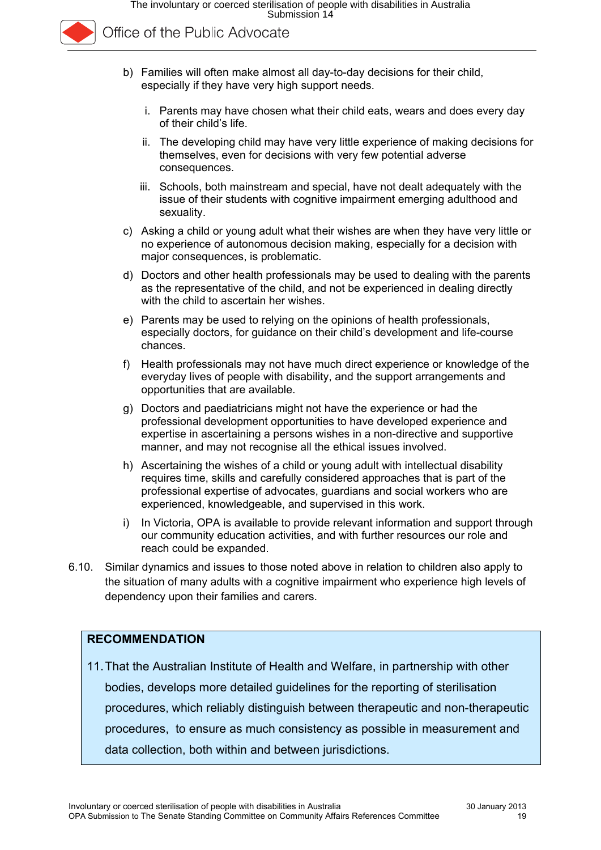

- b) Families will often make almost all day-to-day decisions for their child, especially if they have very high support needs.
	- i. Parents may have chosen what their child eats, wears and does every day of their child's life.
	- ii. The developing child may have very little experience of making decisions for themselves, even for decisions with very few potential adverse consequences.
	- iii. Schools, both mainstream and special, have not dealt adequately with the issue of their students with cognitive impairment emerging adulthood and sexuality.
- c) Asking a child or young adult what their wishes are when they have very little or no experience of autonomous decision making, especially for a decision with major consequences, is problematic.
- d) Doctors and other health professionals may be used to dealing with the parents as the representative of the child, and not be experienced in dealing directly with the child to ascertain her wishes.
- e) Parents may be used to relying on the opinions of health professionals, especially doctors, for guidance on their child's development and life-course chances.
- f) Health professionals may not have much direct experience or knowledge of the everyday lives of people with disability, and the support arrangements and opportunities that are available.
- g) Doctors and paediatricians might not have the experience or had the professional development opportunities to have developed experience and expertise in ascertaining a persons wishes in a non-directive and supportive manner, and may not recognise all the ethical issues involved.
- h) Ascertaining the wishes of a child or young adult with intellectual disability requires time, skills and carefully considered approaches that is part of the professional expertise of advocates, guardians and social workers who are experienced, knowledgeable, and supervised in this work.
- i) In Victoria, OPA is available to provide relevant information and support through our community education activities, and with further resources our role and reach could be expanded.
- 6.10. Similar dynamics and issues to those noted above in relation to children also apply to the situation of many adults with a cognitive impairment who experience high levels of dependency upon their families and carers.

#### **RECOMMENDATION**

11.That the Australian Institute of Health and Welfare, in partnership with other bodies, develops more detailed guidelines for the reporting of sterilisation procedures, which reliably distinguish between therapeutic and non-therapeutic procedures, to ensure as much consistency as possible in measurement and data collection, both within and between jurisdictions.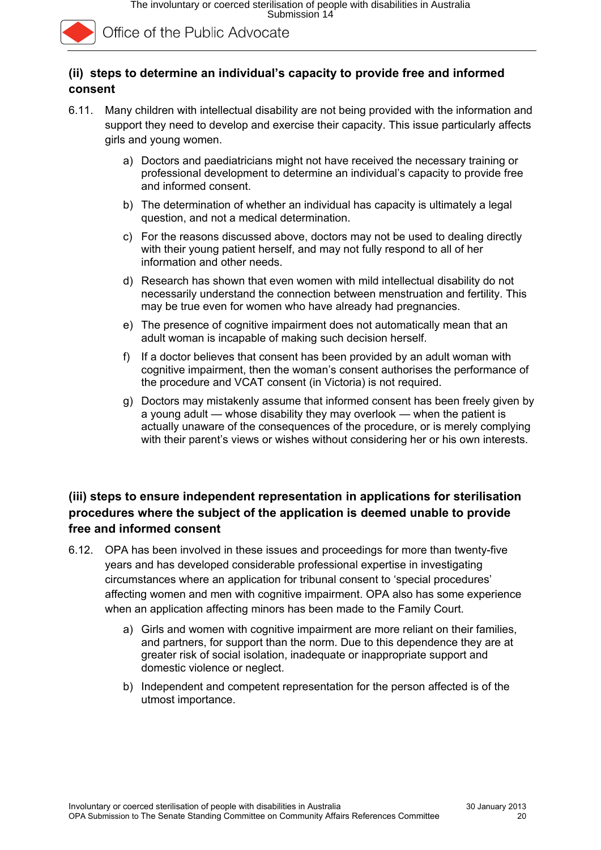

#### **(ii) steps to determine an individual's capacity to provide free and informed consent**

- 6.11. Many children with intellectual disability are not being provided with the information and support they need to develop and exercise their capacity. This issue particularly affects girls and young women.
	- a) Doctors and paediatricians might not have received the necessary training or professional development to determine an individual's capacity to provide free and informed consent.
	- b) The determination of whether an individual has capacity is ultimately a legal question, and not a medical determination.
	- c) For the reasons discussed above, doctors may not be used to dealing directly with their young patient herself, and may not fully respond to all of her information and other needs.
	- d) Research has shown that even women with mild intellectual disability do not necessarily understand the connection between menstruation and fertility. This may be true even for women who have already had pregnancies.
	- e) The presence of cognitive impairment does not automatically mean that an adult woman is incapable of making such decision herself.
	- f) If a doctor believes that consent has been provided by an adult woman with cognitive impairment, then the woman's consent authorises the performance of the procedure and VCAT consent (in Victoria) is not required.
	- g) Doctors may mistakenly assume that informed consent has been freely given by a young adult — whose disability they may overlook — when the patient is actually unaware of the consequences of the procedure, or is merely complying with their parent's views or wishes without considering her or his own interests.

#### **(iii) steps to ensure independent representation in applications for sterilisation procedures where the subject of the application is deemed unable to provide free and informed consent**

- 6.12. OPA has been involved in these issues and proceedings for more than twenty-five years and has developed considerable professional expertise in investigating circumstances where an application for tribunal consent to 'special procedures' affecting women and men with cognitive impairment. OPA also has some experience when an application affecting minors has been made to the Family Court.
	- a) Girls and women with cognitive impairment are more reliant on their families, and partners, for support than the norm. Due to this dependence they are at greater risk of social isolation, inadequate or inappropriate support and domestic violence or neglect.
	- b) Independent and competent representation for the person affected is of the utmost importance.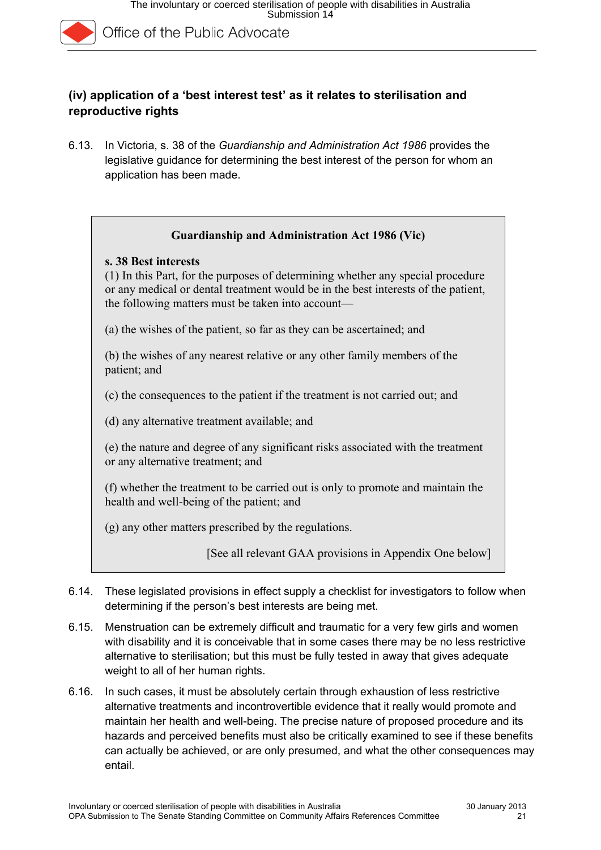

#### **(iv) application of a 'best interest test' as it relates to sterilisation and reproductive rights**

6.13. In Victoria, s. 38 of the *Guardianship and Administration Act 1986* provides the legislative guidance for determining the best interest of the person for whom an application has been made.

#### **Guardianship and Administration Act 1986 (Vic)**

#### **s. 38 Best interests**

(1) In this Part, for the purposes of determining whether any special procedure or any medical or dental treatment would be in the best interests of the patient, the following matters must be taken into account—

(a) the wishes of the patient, so far as they can be ascertained; and

(b) the wishes of any nearest relative or any other family members of the patient; and

(c) the consequences to the patient if the treatment is not carried out; and

(d) any alternative treatment available; and

(e) the nature and degree of any significant risks associated with the treatment or any alternative treatment; and

(f) whether the treatment to be carried out is only to promote and maintain the health and well-being of the patient; and

(g) any other matters prescribed by the regulations.

[See all relevant GAA provisions in Appendix One below]

- 6.14. These legislated provisions in effect supply a checklist for investigators to follow when determining if the person's best interests are being met.
- 6.15. Menstruation can be extremely difficult and traumatic for a very few girls and women with disability and it is conceivable that in some cases there may be no less restrictive alternative to sterilisation; but this must be fully tested in away that gives adequate weight to all of her human rights.
- 6.16. In such cases, it must be absolutely certain through exhaustion of less restrictive alternative treatments and incontrovertible evidence that it really would promote and maintain her health and well-being. The precise nature of proposed procedure and its hazards and perceived benefits must also be critically examined to see if these benefits can actually be achieved, or are only presumed, and what the other consequences may entail.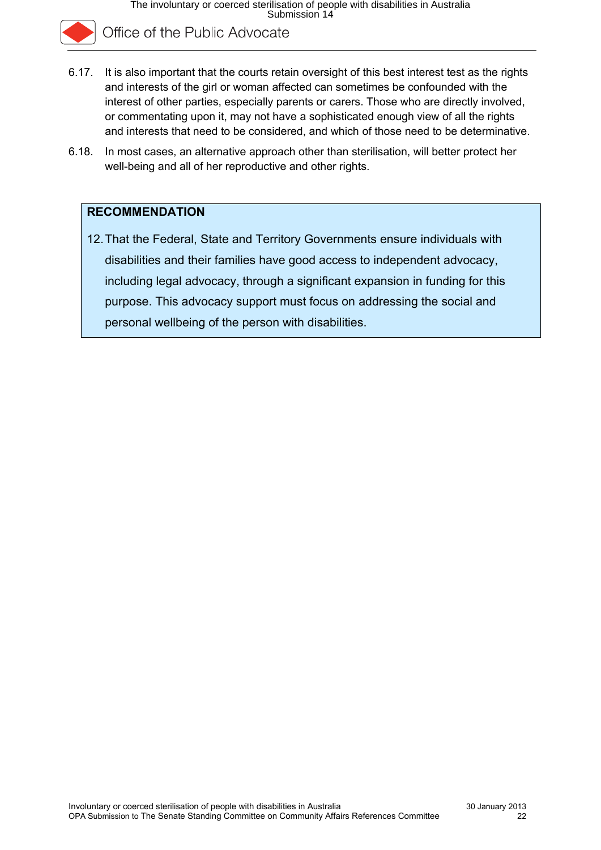

- 6.17. It is also important that the courts retain oversight of this best interest test as the rights and interests of the girl or woman affected can sometimes be confounded with the interest of other parties, especially parents or carers. Those who are directly involved, or commentating upon it, may not have a sophisticated enough view of all the rights and interests that need to be considered, and which of those need to be determinative.
- 6.18. In most cases, an alternative approach other than sterilisation, will better protect her well-being and all of her reproductive and other rights.

#### **RECOMMENDATION**

12.That the Federal, State and Territory Governments ensure individuals with disabilities and their families have good access to independent advocacy, including legal advocacy, through a significant expansion in funding for this purpose. This advocacy support must focus on addressing the social and personal wellbeing of the person with disabilities.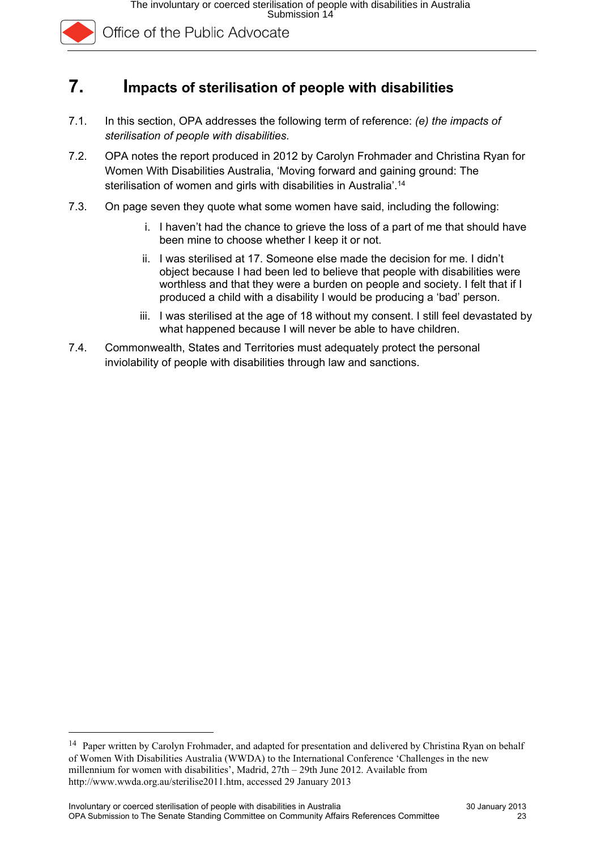

### **7. Impacts of sterilisation of people with disabilities**

- 7.1. In this section, OPA addresses the following term of reference: *(e) the impacts of sterilisation of people with disabilities.*
- 7.2. OPA notes the report produced in 2012 by Carolyn Frohmader and Christina Ryan for Women With Disabilities Australia, 'Moving forward and gaining ground: The sterilisation of women and girls with disabilities in Australia'.<sup>14</sup>
- 7.3. On page seven they quote what some women have said, including the following:
	- i. I haven't had the chance to grieve the loss of a part of me that should have been mine to choose whether I keep it or not.
	- ii. I was sterilised at 17. Someone else made the decision for me. I didn't object because I had been led to believe that people with disabilities were worthless and that they were a burden on people and society. I felt that if I produced a child with a disability I would be producing a 'bad' person.
	- iii. I was sterilised at the age of 18 without my consent. I still feel devastated by what happened because I will never be able to have children.
- 7.4. Commonwealth, States and Territories must adequately protect the personal inviolability of people with disabilities through law and sanctions.

<sup>&</sup>lt;sup>14</sup> Paper written by Carolyn Frohmader, and adapted for presentation and delivered by Christina Ryan on behalf of Women With Disabilities Australia (WWDA) to the International Conference 'Challenges in the new millennium for women with disabilities', Madrid, 27th – 29th June 2012. Available from http://www.wwda.org.au/sterilise2011.htm, accessed 29 January 2013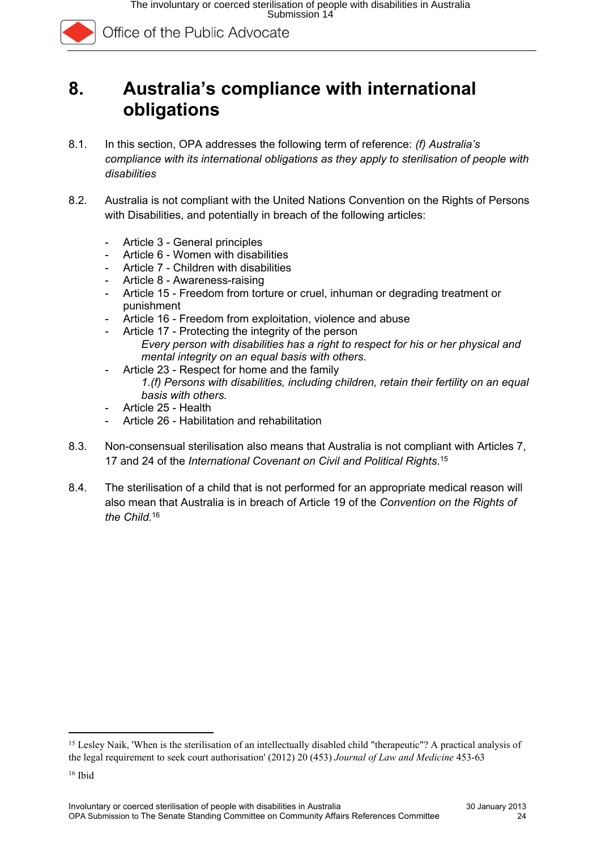

## **8. Australia's compliance with international obligations**

- 8.1. In this section, OPA addresses the following term of reference: *(f) Australia's compliance with its international obligations as they apply to sterilisation of people with disabilities*
- 8.2. Australia is not compliant with the United Nations Convention on the Rights of Persons with Disabilities, and potentially in breach of the following articles:
	- Article 3 General principles
	- Article 6 Women with disabilities
	- Article 7 Children with disabilities
	- Article 8 Awareness-raising
	- Article 15 Freedom from torture or cruel, inhuman or degrading treatment or punishment
	- Article 16 Freedom from exploitation, violence and abuse
	- Article 17 Protecting the integrity of the person *Every person with disabilities has a right to respect for his or her physical and mental integrity on an equal basis with others.*
	- Article 23 Respect for home and the family *1.(f) Persons with disabilities, including children, retain their fertility on an equal basis with others.*
	- Article 25 Health
	- Article 26 Habilitation and rehabilitation
- 8.3. Non-consensual sterilisation also means that Australia is not compliant with Articles 7, 17 and 24 of the *International Covenant on Civil and Political Rights*. 15
- 8.4. The sterilisation of a child that is not performed for an appropriate medical reason will also mean that Australia is in breach of Article 19 of the *Convention on the Rights of the Child.*<sup>16</sup>

<sup>15</sup> Lesley Naik, 'When is the sterilisation of an intellectually disabled child "therapeutic"? A practical analysis of the legal requirement to seek court authorisation' (2012) 20 (453) *Journal of Law and Medicine* 453-63

<sup>16</sup> Ibid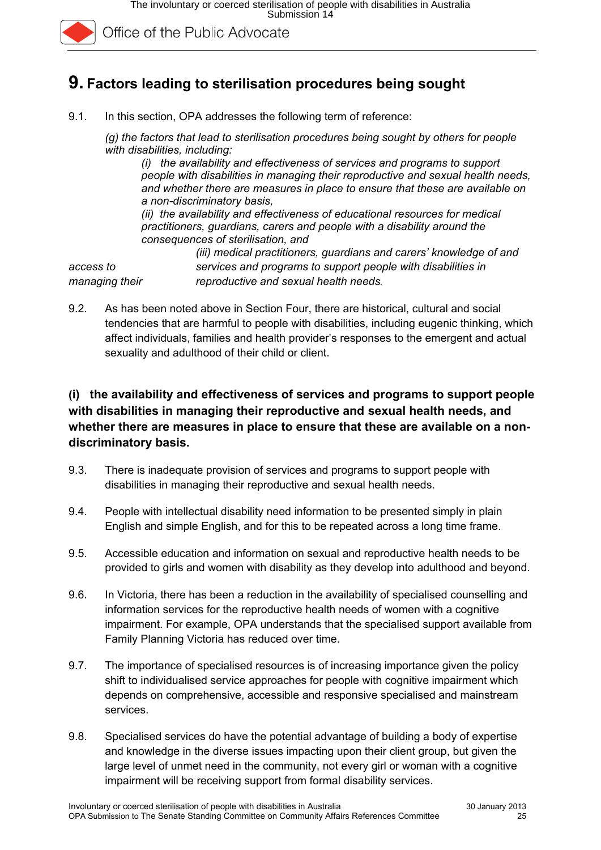

### **9. Factors leading to sterilisation procedures being sought**

9.1. In this section, OPA addresses the following term of reference:

*(g) the factors that lead to sterilisation procedures being sought by others for people with disabilities, including:*

*(i) the availability and effectiveness of services and programs to support people with disabilities in managing their reproductive and sexual health needs, and whether there are measures in place to ensure that these are available on a non-discriminatory basis,*

*(ii) the availability and effectiveness of educational resources for medical practitioners, guardians, carers and people with a disability around the consequences of sterilisation, and*

*(iii) medical practitioners, guardians and carers' knowledge of and access to services and programs to support people with disabilities in managing their reproductive and sexual health needs.*

9.2. As has been noted above in Section Four, there are historical, cultural and social tendencies that are harmful to people with disabilities, including eugenic thinking, which affect individuals, families and health provider's responses to the emergent and actual sexuality and adulthood of their child or client.

#### **(i) the availability and effectiveness of services and programs to support people with disabilities in managing their reproductive and sexual health needs, and whether there are measures in place to ensure that these are available on a nondiscriminatory basis.**

- 9.3. There is inadequate provision of services and programs to support people with disabilities in managing their reproductive and sexual health needs.
- 9.4. People with intellectual disability need information to be presented simply in plain English and simple English, and for this to be repeated across a long time frame.
- 9.5. Accessible education and information on sexual and reproductive health needs to be provided to girls and women with disability as they develop into adulthood and beyond.
- 9.6. In Victoria, there has been a reduction in the availability of specialised counselling and information services for the reproductive health needs of women with a cognitive impairment. For example, OPA understands that the specialised support available from Family Planning Victoria has reduced over time.
- 9.7. The importance of specialised resources is of increasing importance given the policy shift to individualised service approaches for people with cognitive impairment which depends on comprehensive, accessible and responsive specialised and mainstream services.
- 9.8. Specialised services do have the potential advantage of building a body of expertise and knowledge in the diverse issues impacting upon their client group, but given the large level of unmet need in the community, not every girl or woman with a cognitive impairment will be receiving support from formal disability services.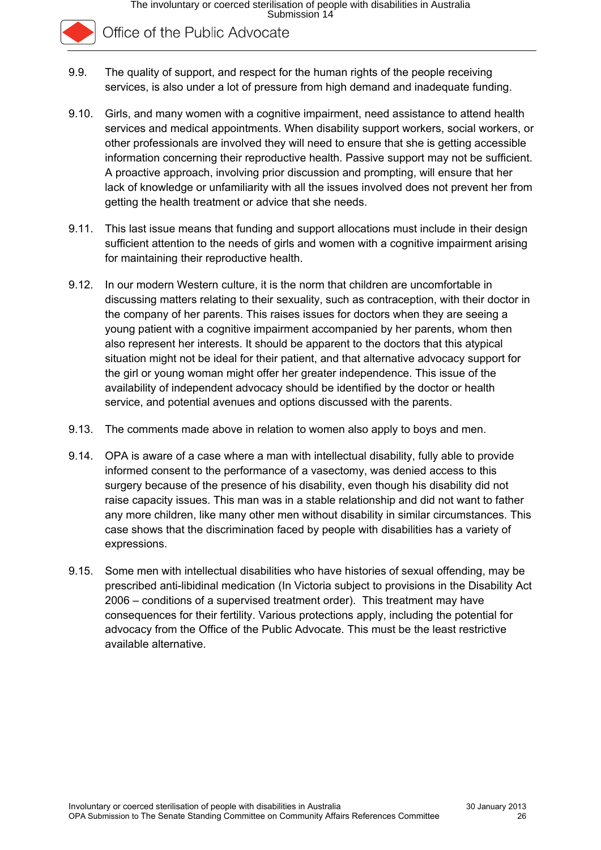

- 9.9. The quality of support, and respect for the human rights of the people receiving services, is also under a lot of pressure from high demand and inadequate funding.
- 9.10. Girls, and many women with a cognitive impairment, need assistance to attend health services and medical appointments. When disability support workers, social workers, or other professionals are involved they will need to ensure that she is getting accessible information concerning their reproductive health. Passive support may not be sufficient. A proactive approach, involving prior discussion and prompting, will ensure that her lack of knowledge or unfamiliarity with all the issues involved does not prevent her from getting the health treatment or advice that she needs.
- 9.11. This last issue means that funding and support allocations must include in their design sufficient attention to the needs of girls and women with a cognitive impairment arising for maintaining their reproductive health.
- 9.12. In our modern Western culture, it is the norm that children are uncomfortable in discussing matters relating to their sexuality, such as contraception, with their doctor in the company of her parents. This raises issues for doctors when they are seeing a young patient with a cognitive impairment accompanied by her parents, whom then also represent her interests. It should be apparent to the doctors that this atypical situation might not be ideal for their patient, and that alternative advocacy support for the girl or young woman might offer her greater independence. This issue of the availability of independent advocacy should be identified by the doctor or health service, and potential avenues and options discussed with the parents.
- 9.13. The comments made above in relation to women also apply to boys and men.
- 9.14. OPA is aware of a case where a man with intellectual disability, fully able to provide informed consent to the performance of a vasectomy, was denied access to this surgery because of the presence of his disability, even though his disability did not raise capacity issues. This man was in a stable relationship and did not want to father any more children, like many other men without disability in similar circumstances. This case shows that the discrimination faced by people with disabilities has a variety of expressions.
- 9.15. Some men with intellectual disabilities who have histories of sexual offending, may be prescribed anti-libidinal medication (In Victoria subject to provisions in the Disability Act 2006 – conditions of a supervised treatment order). This treatment may have consequences for their fertility. Various protections apply, including the potential for advocacy from the Office of the Public Advocate. This must be the least restrictive available alternative.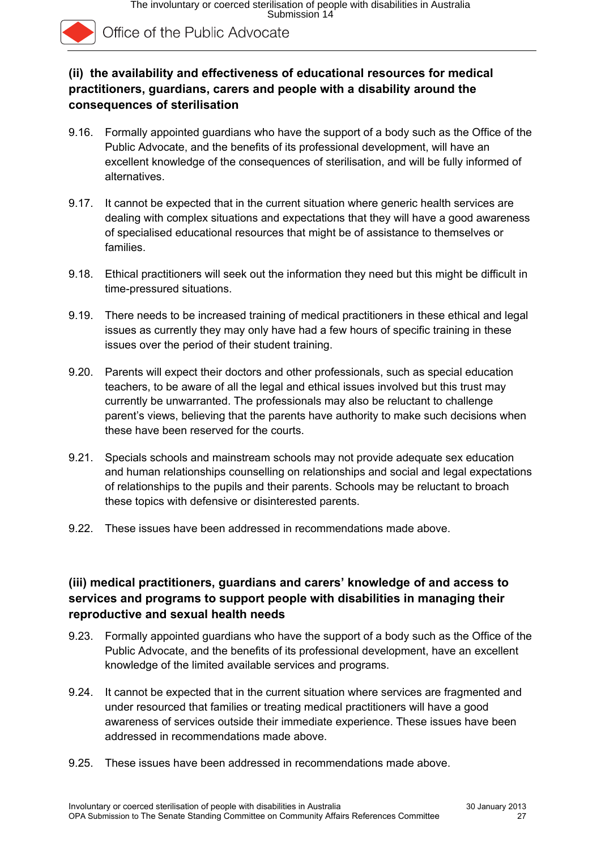

#### **(ii) the availability and effectiveness of educational resources for medical practitioners, guardians, carers and people with a disability around the consequences of sterilisation**

- 9.16. Formally appointed guardians who have the support of a body such as the Office of the Public Advocate, and the benefits of its professional development, will have an excellent knowledge of the consequences of sterilisation, and will be fully informed of alternatives.
- 9.17. It cannot be expected that in the current situation where generic health services are dealing with complex situations and expectations that they will have a good awareness of specialised educational resources that might be of assistance to themselves or families.
- 9.18. Ethical practitioners will seek out the information they need but this might be difficult in time-pressured situations.
- 9.19. There needs to be increased training of medical practitioners in these ethical and legal issues as currently they may only have had a few hours of specific training in these issues over the period of their student training.
- 9.20. Parents will expect their doctors and other professionals, such as special education teachers, to be aware of all the legal and ethical issues involved but this trust may currently be unwarranted. The professionals may also be reluctant to challenge parent's views, believing that the parents have authority to make such decisions when these have been reserved for the courts.
- 9.21. Specials schools and mainstream schools may not provide adequate sex education and human relationships counselling on relationships and social and legal expectations of relationships to the pupils and their parents. Schools may be reluctant to broach these topics with defensive or disinterested parents.
- 9.22. These issues have been addressed in recommendations made above.

#### **(iii) medical practitioners, guardians and carers' knowledge of and access to services and programs to support people with disabilities in managing their reproductive and sexual health needs**

- 9.23. Formally appointed guardians who have the support of a body such as the Office of the Public Advocate, and the benefits of its professional development, have an excellent knowledge of the limited available services and programs.
- 9.24. It cannot be expected that in the current situation where services are fragmented and under resourced that families or treating medical practitioners will have a good awareness of services outside their immediate experience. These issues have been addressed in recommendations made above.
- 9.25. These issues have been addressed in recommendations made above.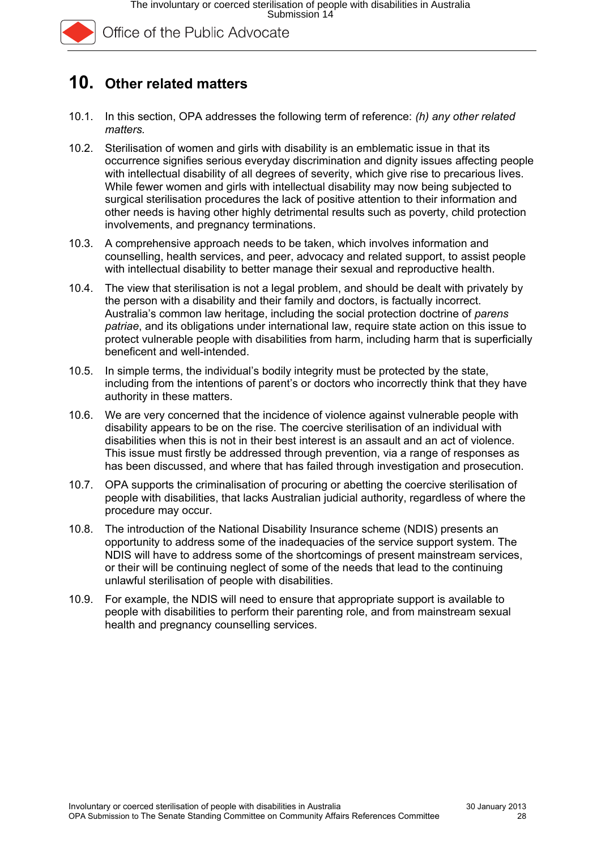

### **10. Other related matters**

- 10.1. In this section, OPA addresses the following term of reference: *(h) any other related matters.*
- 10.2. Sterilisation of women and girls with disability is an emblematic issue in that its occurrence signifies serious everyday discrimination and dignity issues affecting people with intellectual disability of all degrees of severity, which give rise to precarious lives. While fewer women and girls with intellectual disability may now being subjected to surgical sterilisation procedures the lack of positive attention to their information and other needs is having other highly detrimental results such as poverty, child protection involvements, and pregnancy terminations.
- 10.3. A comprehensive approach needs to be taken, which involves information and counselling, health services, and peer, advocacy and related support, to assist people with intellectual disability to better manage their sexual and reproductive health.
- 10.4. The view that sterilisation is not a legal problem, and should be dealt with privately by the person with a disability and their family and doctors, is factually incorrect. Australia's common law heritage, including the social protection doctrine of *parens patriae*, and its obligations under international law, require state action on this issue to protect vulnerable people with disabilities from harm, including harm that is superficially beneficent and well-intended.
- 10.5. In simple terms, the individual's bodily integrity must be protected by the state, including from the intentions of parent's or doctors who incorrectly think that they have authority in these matters.
- 10.6. We are very concerned that the incidence of violence against vulnerable people with disability appears to be on the rise. The coercive sterilisation of an individual with disabilities when this is not in their best interest is an assault and an act of violence. This issue must firstly be addressed through prevention, via a range of responses as has been discussed, and where that has failed through investigation and prosecution.
- 10.7. OPA supports the criminalisation of procuring or abetting the coercive sterilisation of people with disabilities, that lacks Australian judicial authority, regardless of where the procedure may occur.
- 10.8. The introduction of the National Disability Insurance scheme (NDIS) presents an opportunity to address some of the inadequacies of the service support system. The NDIS will have to address some of the shortcomings of present mainstream services, or their will be continuing neglect of some of the needs that lead to the continuing unlawful sterilisation of people with disabilities.
- 10.9. For example, the NDIS will need to ensure that appropriate support is available to people with disabilities to perform their parenting role, and from mainstream sexual health and pregnancy counselling services.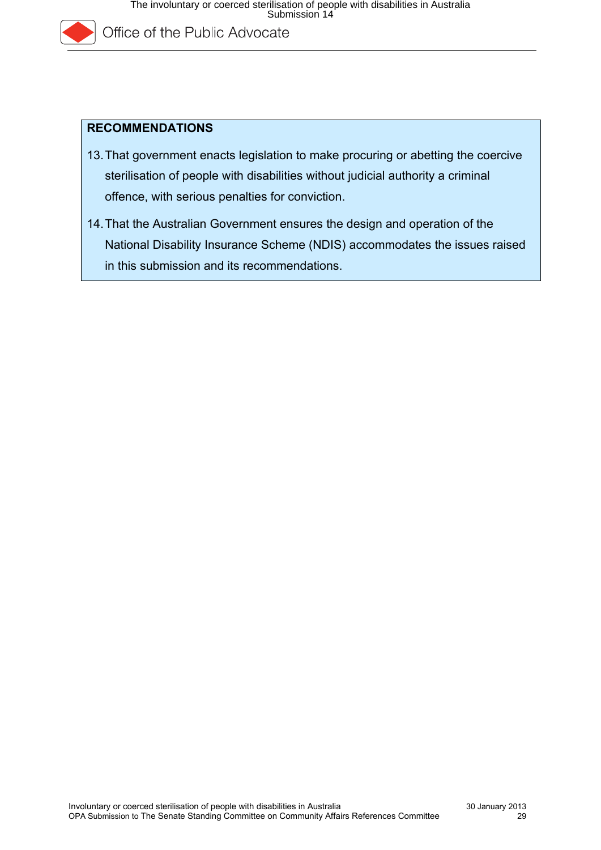

#### **RECOMMENDATIONS**

- 13.That government enacts legislation to make procuring or abetting the coercive sterilisation of people with disabilities without judicial authority a criminal offence, with serious penalties for conviction.
- 14.That the Australian Government ensures the design and operation of the National Disability Insurance Scheme (NDIS) accommodates the issues raised in this submission and its recommendations.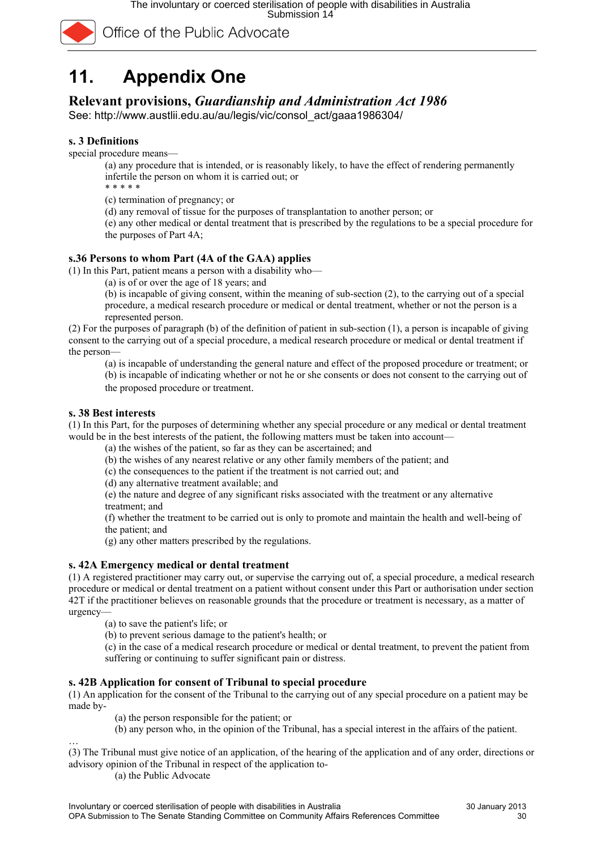

## **11. Appendix One**

#### **Relevant provisions,** *Guardianship and Administration Act 1986*

See: http://www.austlii.edu.au/au/legis/vic/consol\_act/gaaa1986304/

#### **s. 3 Definitions**

special procedure means—

(a) any procedure that is intended, or is reasonably likely, to have the effect of rendering permanently infertile the person on whom it is carried out; or \* \* \* \* \*

(c) termination of pregnancy; or

(d) any removal of tissue for the purposes of transplantation to another person; or

(e) any other medical or dental treatment that is prescribed by the regulations to be a special procedure for the purposes of Part 4A;

#### **s.36 Persons to whom Part (4A of the GAA) applies**

(1) In this Part, patient means a person with a disability who—

(a) is of or over the age of 18 years; and

(b) is incapable of giving consent, within the meaning of sub-section (2), to the carrying out of a special procedure, a medical research procedure or medical or dental treatment, whether or not the person is a represented person.

(2) For the purposes of paragraph (b) of the definition of patient in sub-section (1), a person is incapable of giving consent to the carrying out of a special procedure, a medical research procedure or medical or dental treatment if the person—

(a) is incapable of understanding the general nature and effect of the proposed procedure or treatment; or

(b) is incapable of indicating whether or not he or she consents or does not consent to the carrying out of the proposed procedure or treatment.

**s. 38 Best interests**

(1) In this Part, for the purposes of determining whether any special procedure or any medical or dental treatment would be in the best interests of the patient, the following matters must be taken into account—

(a) the wishes of the patient, so far as they can be ascertained; and

(b) the wishes of any nearest relative or any other family members of the patient; and

(c) the consequences to the patient if the treatment is not carried out; and

(d) any alternative treatment available; and

(e) the nature and degree of any significant risks associated with the treatment or any alternative

treatment; and

(f) whether the treatment to be carried out is only to promote and maintain the health and well-being of the patient; and

(g) any other matters prescribed by the regulations.

#### **s. 42A Emergency medical or dental treatment**

(1) A registered practitioner may carry out, or supervise the carrying out of, a special procedure, a medical research procedure or medical or dental treatment on a patient without consent under this Part or authorisation under section 42T if the practitioner believes on reasonable grounds that the procedure or treatment is necessary, as a matter of urgency—

(a) to save the patient's life; or

(b) to prevent serious damage to the patient's health; or

(c) in the case of a medical research procedure or medical or dental treatment, to prevent the patient from suffering or continuing to suffer significant pain or distress.

#### **s. 42B Application for consent of Tribunal to special procedure**

(1) An application for the consent of the Tribunal to the carrying out of any special procedure on a patient may be made by-

(a) the person responsible for the patient; or

(b) any person who, in the opinion of the Tribunal, has a special interest in the affairs of the patient.

… (3) The Tribunal must give notice of an application, of the hearing of the application and of any order, directions or advisory opinion of the Tribunal in respect of the application to-

(a) the Public Advocate